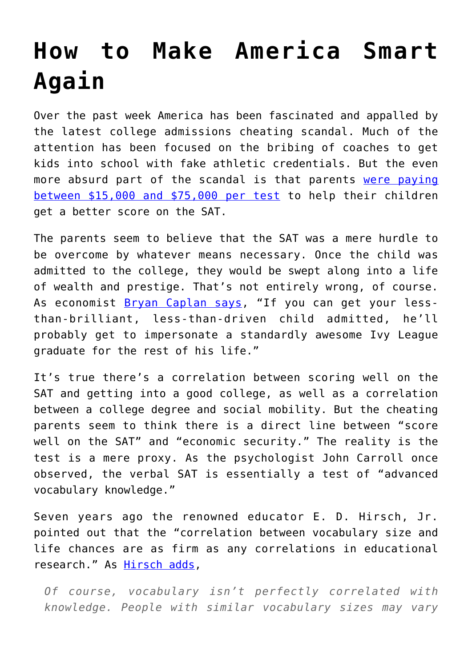## **[How to Make America Smart](https://intellectualtakeout.org/2019/03/how-to-make-america-smart-again/) [Again](https://intellectualtakeout.org/2019/03/how-to-make-america-smart-again/)**

Over the past week America has been fascinated and appalled by the latest college admissions cheating scandal. Much of the attention has been focused on the bribing of coaches to get kids into school with fake athletic credentials. But the even more absurd part of the scandal is that parents [were paying](https://www.cnn.com/2019/03/13/us/what-we-know-college-admissions-cheating-scandal/index.html) [between \\$15,000 and \\$75,000 per test](https://www.cnn.com/2019/03/13/us/what-we-know-college-admissions-cheating-scandal/index.html) to help their children get a better score on the SAT.

The parents seem to believe that the SAT was a mere hurdle to be overcome by whatever means necessary. Once the child was admitted to the college, they would be swept along into a life of wealth and prestige. That's not entirely wrong, of course. As economist **[Bryan Caplan says](http://time.com/5551315/college-bribery-larger-lie/)**, "If you can get your lessthan-brilliant, less-than-driven child admitted, he'll probably get to impersonate a standardly awesome Ivy League graduate for the rest of his life."

It's true there's a correlation between scoring well on the SAT and getting into a good college, as well as a correlation between a college degree and social mobility. But the cheating parents seem to think there is a direct line between "score well on the SAT" and "economic security." The reality is the test is a mere proxy. As the psychologist John Carroll once observed, the verbal SAT is essentially a test of "advanced vocabulary knowledge."

Seven years ago the renowned educator E. D. Hirsch, Jr. pointed out that the "correlation between vocabulary size and life chances are as firm as any correlations in educational research." As [Hirsch adds,](https://www.city-journal.org/html/wealth-words-13523.html)

*Of course, vocabulary isn't perfectly correlated with knowledge. People with similar vocabulary sizes may vary*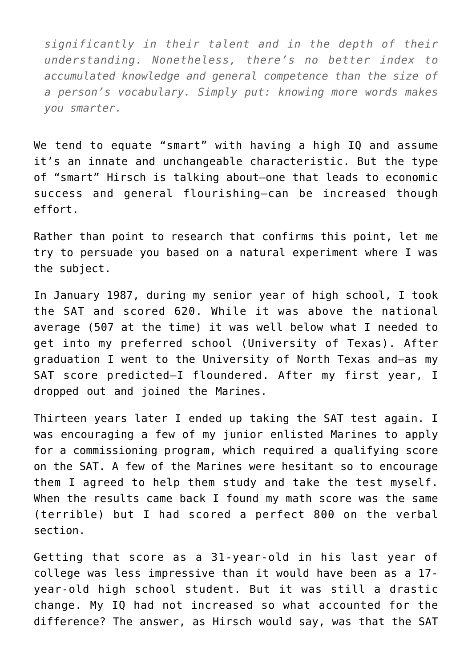*significantly in their talent and in the depth of their understanding. Nonetheless, there's no better index to accumulated knowledge and general competence than the size of a person's vocabulary. Simply put: knowing more words makes you smarter.*

We tend to equate "smart" with having a high IQ and assume it's an innate and unchangeable characteristic. But the type of "smart" Hirsch is talking about—one that leads to economic success and general flourishing—can be increased though effort.

Rather than point to research that confirms this point, let me try to persuade you based on a natural experiment where I was the subject.

In January 1987, during my senior year of high school, I took the SAT and scored 620. While it was above the national average (507 at the time) it was well below what I needed to get into my preferred school (University of Texas). After graduation I went to the University of North Texas and—as my SAT score predicted—I floundered. After my first year, I dropped out and joined the Marines.

Thirteen years later I ended up taking the SAT test again. I was encouraging a few of my junior enlisted Marines to apply for a commissioning program, which required a qualifying score on the SAT. A few of the Marines were hesitant so to encourage them I agreed to help them study and take the test myself. When the results came back I found my math score was the same (terrible) but I had scored a perfect 800 on the verbal section.

Getting that score as a 31-year-old in his last year of college was less impressive than it would have been as a 17 year-old high school student. But it was still a drastic change. My IQ had not increased so what accounted for the difference? The answer, as Hirsch would say, was that the SAT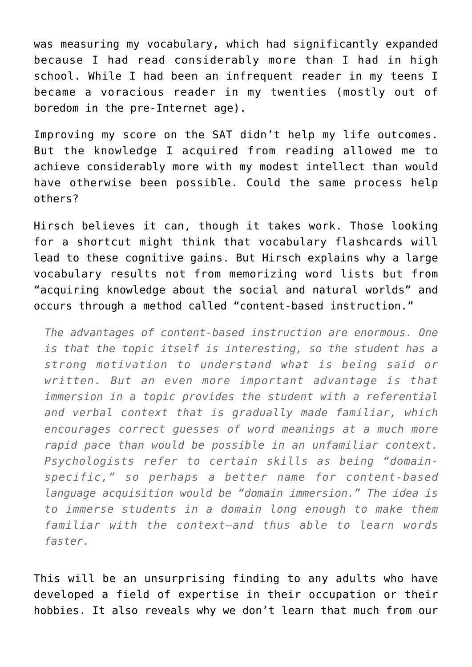was measuring my vocabulary, which had significantly expanded because I had read considerably more than I had in high school. While I had been an infrequent reader in my teens I became a voracious reader in my twenties (mostly out of boredom in the pre-Internet age).

Improving my score on the SAT didn't help my life outcomes. But the knowledge I acquired from reading allowed me to achieve considerably more with my modest intellect than would have otherwise been possible. Could the same process help others?

Hirsch believes it can, though it takes work. Those looking for a shortcut might think that vocabulary flashcards will lead to these cognitive gains. But Hirsch explains why a large vocabulary results not from memorizing word lists but from "acquiring knowledge about the social and natural worlds" and occurs through a method called "content-based instruction."

*The advantages of content-based instruction are enormous. One is that the topic itself is interesting, so the student has a strong motivation to understand what is being said or written. But an even more important advantage is that immersion in a topic provides the student with a referential and verbal context that is gradually made familiar, which encourages correct guesses of word meanings at a much more rapid pace than would be possible in an unfamiliar context. Psychologists refer to certain skills as being "domainspecific," so perhaps a better name for content-based language acquisition would be "domain immersion." The idea is to immerse students in a domain long enough to make them familiar with the context—and thus able to learn words faster.*

This will be an unsurprising finding to any adults who have developed a field of expertise in their occupation or their hobbies. It also reveals why we don't learn that much from our